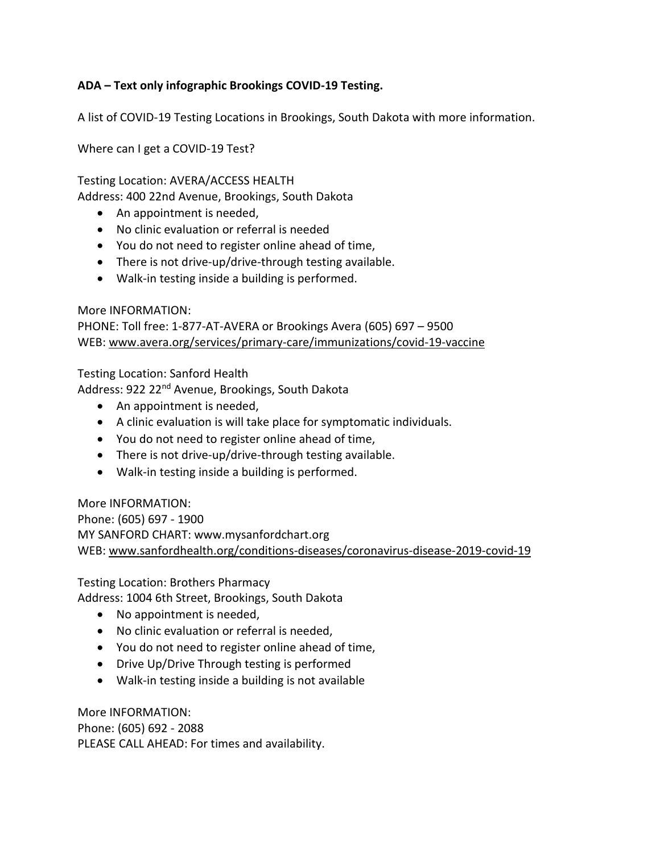## **ADA – Text only infographic Brookings COVID-19 Testing.**

A list of COVID-19 Testing Locations in Brookings, South Dakota with more information.

Where can I get a COVID-19 Test?

Testing Location: AVERA/ACCESS HEALTH

Address: 400 22nd Avenue, Brookings, South Dakota

- An appointment is needed,
- No clinic evaluation or referral is needed
- You do not need to register online ahead of time,
- There is not drive-up/drive-through testing available.
- Walk-in testing inside a building is performed.

## More INFORMATION:

PHONE: Toll free: 1-877-AT-AVERA or Brookings Avera (605) 697 – 9500 WEB: [www.avera.org/services/primary-care/immunizations/covid-19-vaccine](http://www.avera.org/services/primary-care/immunizations/covid-19-vaccine)

Testing Location: Sanford Health

Address: 922 22<sup>nd</sup> Avenue, Brookings, South Dakota

- An appointment is needed,
- A clinic evaluation is will take place for symptomatic individuals.
- You do not need to register online ahead of time,
- There is not drive-up/drive-through testing available.
- Walk-in testing inside a building is performed.

More INFORMATION: Phone: (605) 697 - 1900 MY SANFORD CHART: www.mysanfordchart.org WEB: [www.sanfordhealth.org/conditions-diseases/coronavirus-disease-2019-covid-19](http://www.sanfordhealth.org/conditions-diseases/coronavirus-disease-2019-covid-19)

Testing Location: Brothers Pharmacy

Address: 1004 6th Street, Brookings, South Dakota

- No appointment is needed,
- No clinic evaluation or referral is needed,
- You do not need to register online ahead of time,
- Drive Up/Drive Through testing is performed
- Walk-in testing inside a building is not available

More INFORMATION: Phone: (605) 692 - 2088 PLEASE CALL AHEAD: For times and availability.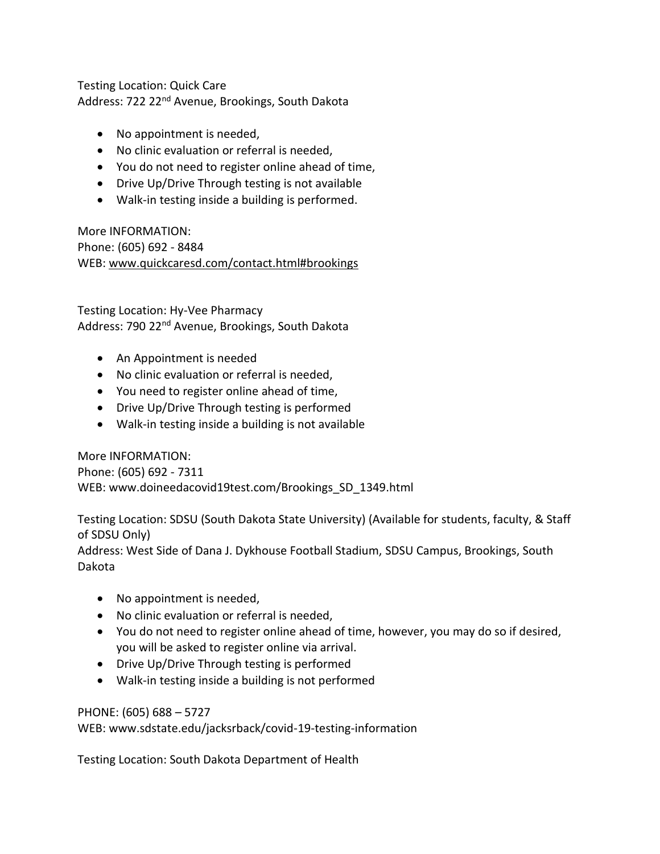Testing Location: Quick Care Address: 722 22nd Avenue, Brookings, South Dakota

- No appointment is needed,
- No clinic evaluation or referral is needed,
- You do not need to register online ahead of time,
- Drive Up/Drive Through testing is not available
- Walk-in testing inside a building is performed.

More INFORMATION: Phone: (605) 692 - 8484 WEB: [www.quickcaresd.com/contact.html#brookings](http://www.quickcaresd.com/contact.html#brookings)

Testing Location: Hy-Vee Pharmacy Address: 790 22<sup>nd</sup> Avenue, Brookings, South Dakota

- An Appointment is needed
- No clinic evaluation or referral is needed,
- You need to register online ahead of time,
- Drive Up/Drive Through testing is performed
- Walk-in testing inside a building is not available

More INFORMATION: Phone: (605) 692 - 7311 WEB: www.doineedacovid19test.com/Brookings\_SD\_1349.html

Testing Location: SDSU (South Dakota State University) (Available for students, faculty, & Staff of SDSU Only) Address: West Side of Dana J. Dykhouse Football Stadium, SDSU Campus, Brookings, South Dakota

- No appointment is needed,
- No clinic evaluation or referral is needed,
- You do not need to register online ahead of time, however, you may do so if desired, you will be asked to register online via arrival.
- Drive Up/Drive Through testing is performed
- Walk-in testing inside a building is not performed

## PHONE: (605) 688 – 5727

WEB: www.sdstate.edu/jacksrback/covid-19-testing-information

Testing Location: South Dakota Department of Health